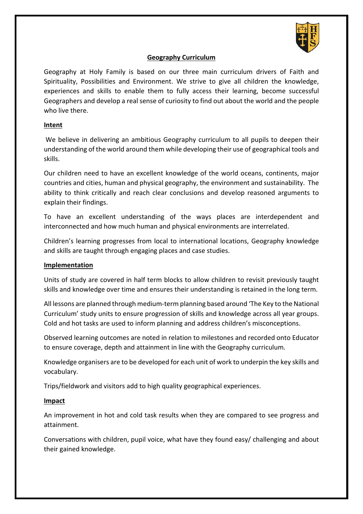

## **Geography Curriculum**

Geography at Holy Family is based on our three main curriculum drivers of Faith and Spirituality, Possibilities and Environment. We strive to give all children the knowledge, experiences and skills to enable them to fully access their learning, become successful Geographers and develop a real sense of curiosity to find out about the world and the people who live there.

## **Intent**

 We believe in delivering an ambitious Geography curriculum to all pupils to deepen their understanding of the world around them while developing their use of geographical tools and skills.

Our children need to have an excellent knowledge of the world oceans, continents, major countries and cities, human and physical geography, the environment and sustainability. The ability to think critically and reach clear conclusions and develop reasoned arguments to explain their findings.

To have an excellent understanding of the ways places are interdependent and interconnected and how much human and physical environments are interrelated.

Children's learning progresses from local to international locations, Geography knowledge and skills are taught through engaging places and case studies.

## **Implementation**

Units of study are covered in half term blocks to allow children to revisit previously taught skills and knowledge over time and ensures their understanding is retained in the long term.

All lessons are planned through medium-term planning based around 'The Key to the National Curriculum' study units to ensure progression of skills and knowledge across all year groups. Cold and hot tasks are used to inform planning and address children's misconceptions.

Observed learning outcomes are noted in relation to milestones and recorded onto Educator to ensure coverage, depth and attainment in line with the Geography curriculum.

Knowledge organisers are to be developed for each unit of work to underpin the key skills and vocabulary.

Trips/fieldwork and visitors add to high quality geographical experiences.

## **Impact**

An improvement in hot and cold task results when they are compared to see progress and attainment.

Conversations with children, pupil voice, what have they found easy/ challenging and about their gained knowledge.